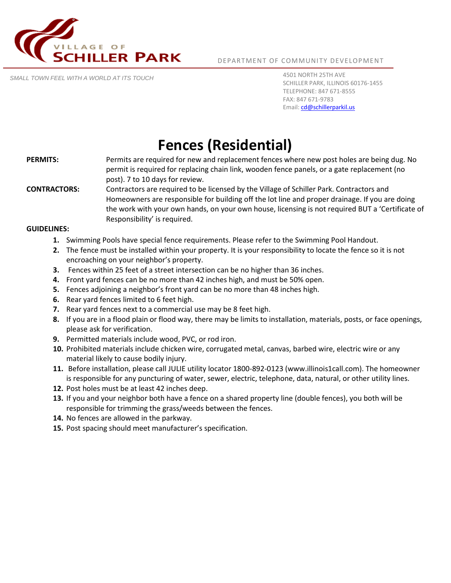

DEPARTMENT OF COMMUNITY DEVELOPMENT

*SMALL TOWN FEEL WITH A WORLD AT ITS TOUCH*

4501 NORTH 25TH AVE SCHILLER PARK, ILLINOIS 60176-1455 TELEPHONE: 847 671-8555 FAX: 847 671-9783 Email[: cd@schillerparkil.us](mailto:cd@schillerparkil.us)

# **Fences (Residential)**

- **PERMITS:** Permits are required for new and replacement fences where new post holes are being dug. No permit is required for replacing chain link, wooden fence panels, or a gate replacement (no post). 7 to 10 days for review.
- **CONTRACTORS:** Contractors are required to be licensed by the Village of Schiller Park. Contractors and Homeowners are responsible for building off the lot line and proper drainage. If you are doing the work with your own hands, on your own house, licensing is not required BUT a 'Certificate of Responsibility' is required.

#### **GUIDELINES:**

- **1.** Swimming Pools have special fence requirements. Please refer to the Swimming Pool Handout.
- **2.** The fence must be installed within your property. It is your responsibility to locate the fence so it is not encroaching on your neighbor's property.
- **3.** Fences within 25 feet of a street intersection can be no higher than 36 inches.
- **4.** Front yard fences can be no more than 42 inches high, and must be 50% open.
- **5.** Fences adjoining a neighbor's front yard can be no more than 48 inches high.
- **6.** Rear yard fences limited to 6 feet high.
- **7.** Rear yard fences next to a commercial use may be 8 feet high.
- **8.** If you are in a flood plain or flood way, there may be limits to installation, materials, posts, or face openings, please ask for verification.
- **9.** Permitted materials include wood, PVC, or rod iron.
- **10.** Prohibited materials include chicken wire, corrugated metal, canvas, barbed wire, electric wire or any material likely to cause bodily injury.
- **11.** Before installation, please call JULIE utility locator 1800-892-0123 (www.illinois1call.com). The homeowner is responsible for any puncturing of water, sewer, electric, telephone, data, natural, or other utility lines.
- **12.** Post holes must be at least 42 inches deep.
- **13.** If you and your neighbor both have a fence on a shared property line (double fences), you both will be responsible for trimming the grass/weeds between the fences.
- **14.** No fences are allowed in the parkway.
- **15.** Post spacing should meet manufacturer's specification.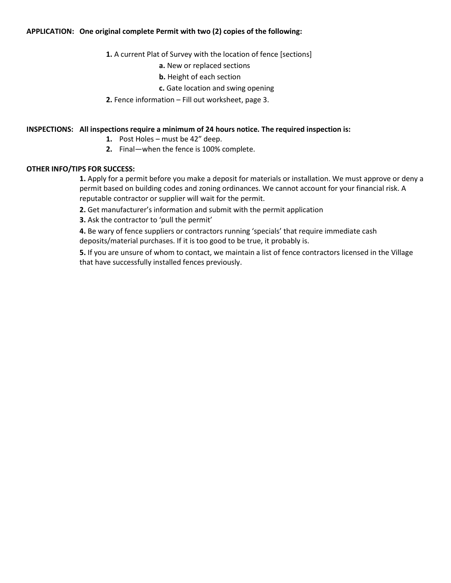### **APPLICATION: One original complete Permit with two (2) copies of the following:**

- **1.** A current Plat of Survey with the location of fence [sections]
	- **a.** New or replaced sections
	- **b.** Height of each section
	- **c.** Gate location and swing opening
- **2.** Fence information Fill out worksheet, page 3.

## **INSPECTIONS: All inspections require a minimum of 24 hours notice. The required inspection is:**

- **1.** Post Holes must be 42" deep.
- **2.** Final—when the fence is 100% complete.

### **OTHER INFO/TIPS FOR SUCCESS:**

**1.** Apply for a permit before you make a deposit for materials or installation. We must approve or deny a permit based on building codes and zoning ordinances. We cannot account for your financial risk. A reputable contractor or supplier will wait for the permit.

**2.** Get manufacturer's information and submit with the permit application

**3.** Ask the contractor to 'pull the permit'

**4.** Be wary of fence suppliers or contractors running 'specials' that require immediate cash deposits/material purchases. If it is too good to be true, it probably is.

**5.** If you are unsure of whom to contact, we maintain a list of fence contractors licensed in the Village that have successfully installed fences previously.